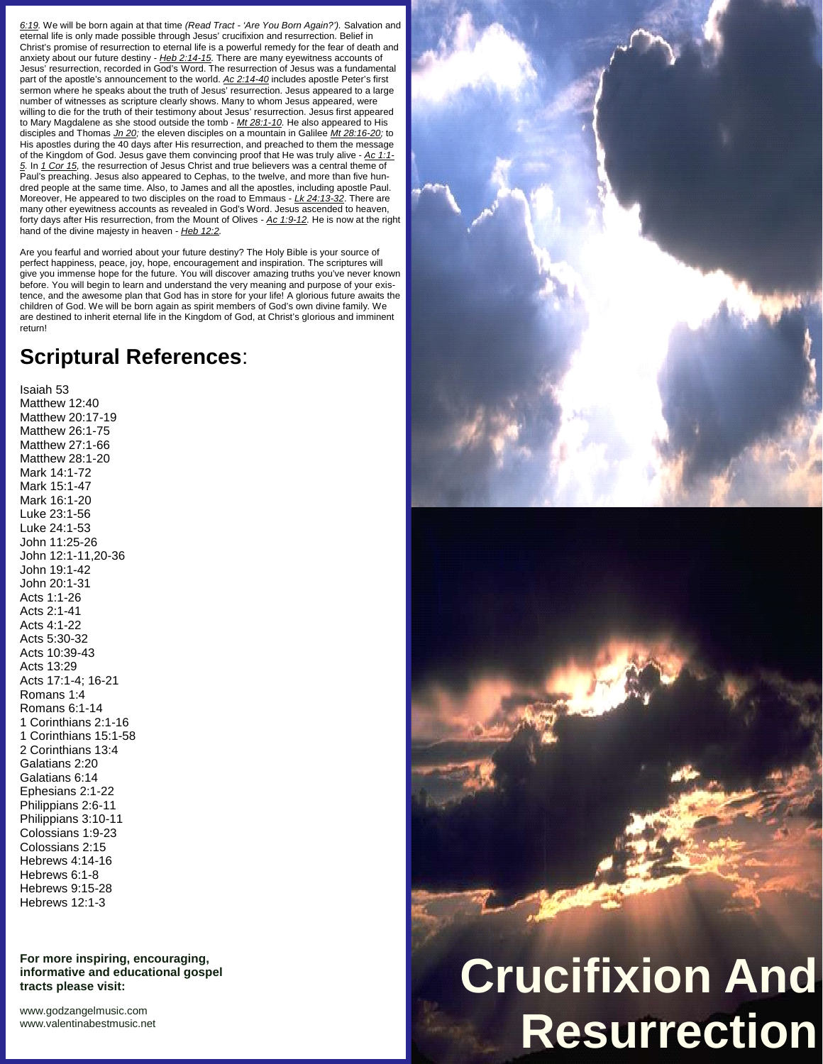*6:19.* We will be born again at that time *(Read Tract - 'Are You Born Again?').* Salvation and eternal life is only made possible through Jesus' crucifixion and resurrection. Belief in Christ's promise of resurrection to eternal life is a powerful remedy for the fear of death and anxiety about our future destiny - *Heb 2:14-15.* There are many eyewitness accounts of Jesus' resurrection, recorded in God's Word. The resurrection of Jesus was a fundamental part of the apostle's announcement to the world. *Ac 2:14-40* includes apostle Peter's first sermon where he speaks about the truth of Jesus' resurrection. Jesus appeared to a large number of witnesses as scripture clearly shows. Many to whom Jesus appeared, were willing to die for the truth of their testimony about Jesus' resurrection. Jesus first appeared to Mary Magdalene as she stood outside the tomb - *Mt 28:1-10.* He also appeared to His disciples and Thomas *Jn 20;* the eleven disciples on a mountain in Galilee *Mt 28:16-20;* to His apostles during the 40 days after His resurrection, and preached to them the message of the Kingdom of God. Jesus gave them convincing proof that He was truly alive - *Ac 1:1- 5.* In *1 Cor 15,* the resurrection of Jesus Christ and true believers was a central theme of Paul's preaching. Jesus also appeared to Cephas, to the twelve, and more than five hun dred people at the same time. Also, to James and all the apostles, including apostle Paul. Moreover, He appeared to two disciples on the road to Emmaus - *Lk 24:13-32*. There are many other eyewitness accounts as revealed in God's Word. Jesus ascended to heaven, forty days after His resurrection, from the Mount of Olives - *Ac 1:9-12.* He is now at the right hand of the divine majesty in heaven - *Heb 12:2.*

Are you fearful and worried about your future destiny? The Holy Bible is your source of perfect happiness, peace, joy, hope, encouragement and inspiration. The scriptures will give you immense hope for the future. You will discover amazing truths you've never known before. You will begin to learn and understand the very meaning and purpose of your existence, and the awesome plan that God has in store for your life! A glorious future awaits the children of God. We will be born again as spirit members of God's own divine family. We are destined to inherit eternal life in the Kingdom of God, at Christ's glorious and imminent return!

## **Scriptural References**:

Isaiah 53 Matthew 12:40 Matthew 20:17-19 Matthew 26:1-75 Matthew 27:1-66 Matthew 28:1-20 Mark 14:1-72 Mark 15:1-47 Mark 16:1-20 Luke 23:1-56 Luke 24:1-53 John 11:25-26 John 12:1-11,20-36 John 19:1-42 John 20:1-31 Acts 1:1-26 Acts 2:1-41 Acts 4:1-22 Acts 5:30-32 Acts 10:39-43 Acts 13:29 Acts 17:1-4; 16-21 Romans 1:4 Romans 6:1-14 1 Corinthians 2:1-16 1 Corinthians 15:1-58 2 Corinthians 13:4 Galatians 2:20 Galatians 6:14 Ephesians 2:1-22 Philippians 2:6-11 Philippians 3:10-11 Colossians 1:9-23 Colossians 2:15 Hebrews 4:14-16 Hebrews 6:1-8 Hebrews 9:15-28 Hebrews 12:1-3

**For more inspiring, encouraging, informative and educational gospel tracts please visit:**

<www.godzangelmusic.com> <www.valentinabestmusic.net>



## **Crucifixion And Resurrection**